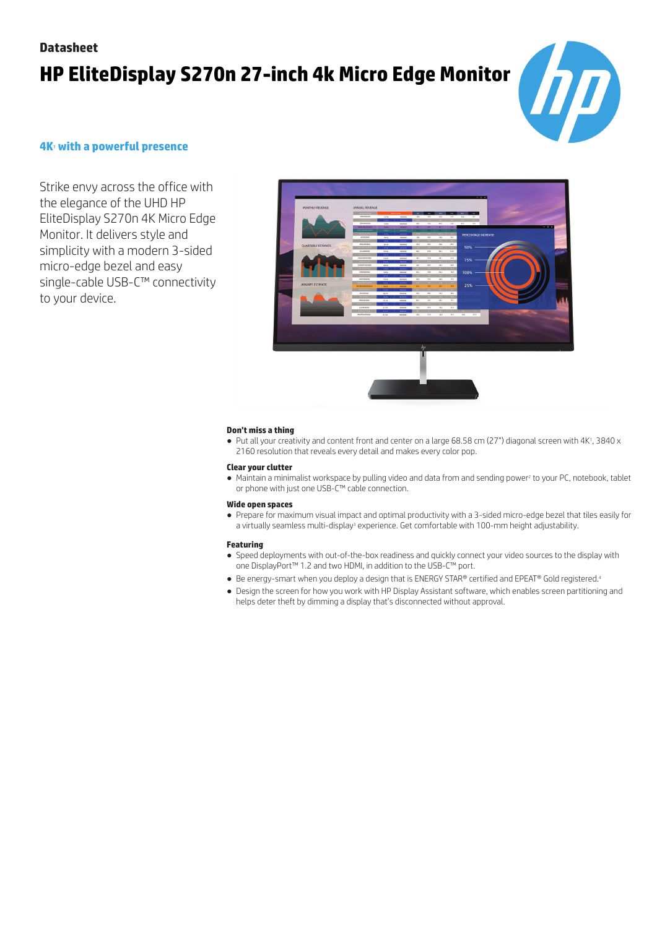### **Datasheet**

# **HP EliteDisplay S270n 27-inch 4k Micro Edge Monitor**



### **4K**<sup>1</sup> **with a powerful presence**

Strike envy across the office with the elegance of the UHD HP EliteDisplay S270n 4K Micro Edge Monitor. It delivers style and simplicity with a modern 3-sided micro-edge bezel and easy single-cable USB-C™ connectivity to your device.



### **Don't miss a thing**

● Put all your creativity and content front and center on a large 68.58 cm (27") diagonal screen with 4K<sup>1</sup>, 3840 x 2160 resolution that reveals every detail and makes every color pop.

#### **Clear your clutter**

● Maintain a minimalist workspace by pulling video and data from and sending power<sup>2</sup> to your PC, notebook, tablet or phone with just one USB-C™ cable connection.

#### **Wide open spaces**

● Prepare for maximum visual impact and optimal productivity with a 3-sided micro-edge bezel that tiles easily for a virtually seamless multi-display<sup>3</sup> experience. Get comfortable with 100-mm height adjustability.

#### **Featuring**

- Speed deployments with out-of-the-box readiness and quickly connect your video sources to the display with one DisplayPort™ 1.2 and two HDMI, in addition to the USB-C™ port.
- Be energy-smart when you deploy a design that is ENERGY STAR® certified and EPEAT® Gold registered.<sup>4</sup>
- Design the screen for how you work with HP Display Assistant software, which enables screen partitioning and helps deter theft by dimming a display that's disconnected without approval.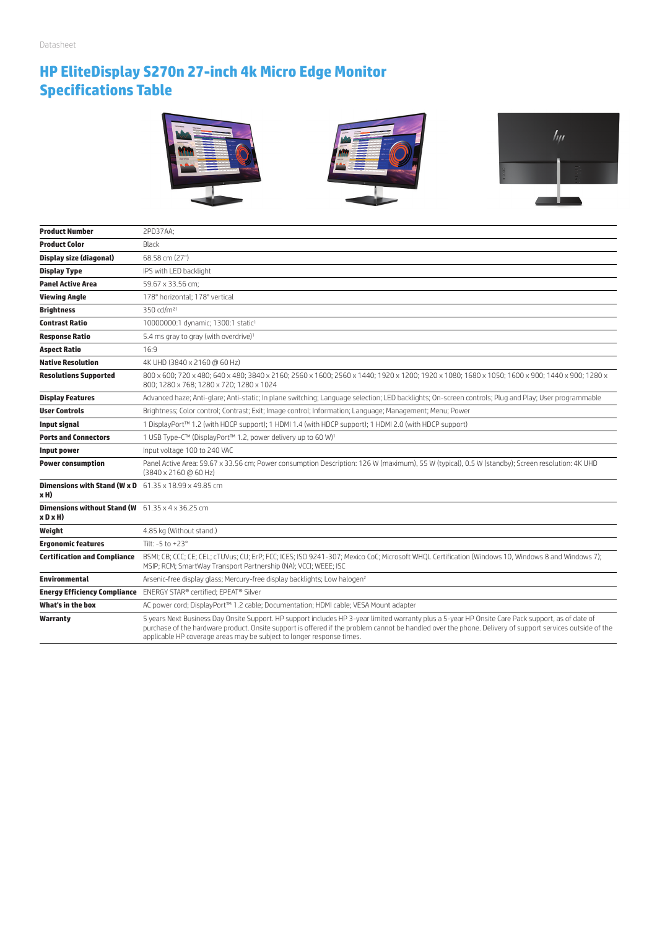# **HP EliteDisplay S270n 27-inch 4k Micro Edge Monitor Specifications Table**



| <b>Product Number</b>                                                           | 2PD37AA;                                                                                                                                                                                                                                                                                                                                                                               |
|---------------------------------------------------------------------------------|----------------------------------------------------------------------------------------------------------------------------------------------------------------------------------------------------------------------------------------------------------------------------------------------------------------------------------------------------------------------------------------|
| <b>Product Color</b>                                                            | Black                                                                                                                                                                                                                                                                                                                                                                                  |
| <b>Display size (diagonal)</b>                                                  | 68.58 cm (27")                                                                                                                                                                                                                                                                                                                                                                         |
| <b>Display Type</b>                                                             | IPS with LED backlight                                                                                                                                                                                                                                                                                                                                                                 |
| <b>Panel Active Area</b>                                                        | 59.67 x 33.56 cm;                                                                                                                                                                                                                                                                                                                                                                      |
| <b>Viewing Angle</b>                                                            | 178° horizontal; 178° vertical                                                                                                                                                                                                                                                                                                                                                         |
| <b>Brightness</b>                                                               | 350 cd/m <sup>21</sup>                                                                                                                                                                                                                                                                                                                                                                 |
| <b>Contrast Ratio</b>                                                           | 10000000:1 dynamic; 1300:1 static <sup>1</sup>                                                                                                                                                                                                                                                                                                                                         |
| <b>Response Ratio</b>                                                           | 5.4 ms gray to gray (with overdrive) <sup>1</sup>                                                                                                                                                                                                                                                                                                                                      |
| <b>Aspect Ratio</b>                                                             | 16:9                                                                                                                                                                                                                                                                                                                                                                                   |
| <b>Native Resolution</b>                                                        | 4K UHD (3840 x 2160 @ 60 Hz)                                                                                                                                                                                                                                                                                                                                                           |
| <b>Resolutions Supported</b>                                                    | 800 x 600; 720 x 480; 640 x 480; 3840 x 2160; 2560 x 1600; 2560 x 1440; 1920 x 1200; 1920 x 1080; 1680 x 1050; 1600 x 900; 1440 x 900; 1280 x<br>800: 1280 x 768: 1280 x 720: 1280 x 1024                                                                                                                                                                                              |
| <b>Display Features</b>                                                         | Advanced haze; Anti-glare; Anti-static; In plane switching; Language selection; LED backlights; On-screen controls; Plug and Play; User programmable                                                                                                                                                                                                                                   |
| <b>User Controls</b>                                                            | Brightness; Color control; Contrast; Exit; Image control; Information; Language; Management; Menu; Power                                                                                                                                                                                                                                                                               |
| Input signal                                                                    | 1 DisplayPort™ 1.2 (with HDCP support); 1 HDMI 1.4 (with HDCP support); 1 HDMI 2.0 (with HDCP support)                                                                                                                                                                                                                                                                                 |
| <b>Ports and Connectors</b>                                                     | 1 USB Type-C™ (DisplayPort™ 1.2, power delivery up to 60 W) <sup>1</sup>                                                                                                                                                                                                                                                                                                               |
| Input power                                                                     | Input voltage 100 to 240 VAC                                                                                                                                                                                                                                                                                                                                                           |
| <b>Power consumption</b>                                                        | Panel Active Area: 59.67 x 33.56 cm; Power consumption Description: 126 W (maximum), 55 W (typical), 0.5 W (standby); Screen resolution: 4K UHD<br>$(3840 \times 2160 \text{ @ } 60 \text{ Hz})$                                                                                                                                                                                       |
| <b>Dimensions with Stand (W x D</b> $61.35 \times 18.99 \times 49.85$ cm<br>xH) |                                                                                                                                                                                                                                                                                                                                                                                        |
| <b>Dimensions without Stand (W</b> $61.35 \times 4 \times 36.25$ cm<br>x D x H) |                                                                                                                                                                                                                                                                                                                                                                                        |
| Weight                                                                          | 4.85 kg (Without stand.)                                                                                                                                                                                                                                                                                                                                                               |
| <b>Ergonomic features</b>                                                       | Tilt: $-5$ to $+23^\circ$                                                                                                                                                                                                                                                                                                                                                              |
| <b>Certification and Compliance</b>                                             | BSMI; CB; CCC; CE; CEL; cTUVus; CU; ErP; FCC; ICES; ISO 9241-307; Mexico CoC; Microsoft WHQL Certification (Windows 10, Windows 8 and Windows 7);<br>MSIP; RCM; SmartWay Transport Partnership (NA); VCCI; WEEE; ISC                                                                                                                                                                   |
| <b>Environmental</b>                                                            | Arsenic-free display glass; Mercury-free display backlights; Low halogen <sup>2</sup>                                                                                                                                                                                                                                                                                                  |
|                                                                                 | Energy Efficiency Compliance ENERGY STAR® certified; EPEAT® Silver                                                                                                                                                                                                                                                                                                                     |
| What's in the box                                                               | AC power cord; DisplayPort™ 1.2 cable; Documentation; HDMI cable; VESA Mount adapter                                                                                                                                                                                                                                                                                                   |
| <b>Warranty</b>                                                                 | 5 years Next Business Day Onsite Support. HP support includes HP 3-year limited warranty plus a 5-year HP Onsite Care Pack support, as of date of<br>purchase of the hardware product. Onsite support is offered if the problem cannot be handled over the phone. Delivery of support services outside of the<br>applicable HP coverage areas may be subject to longer response times. |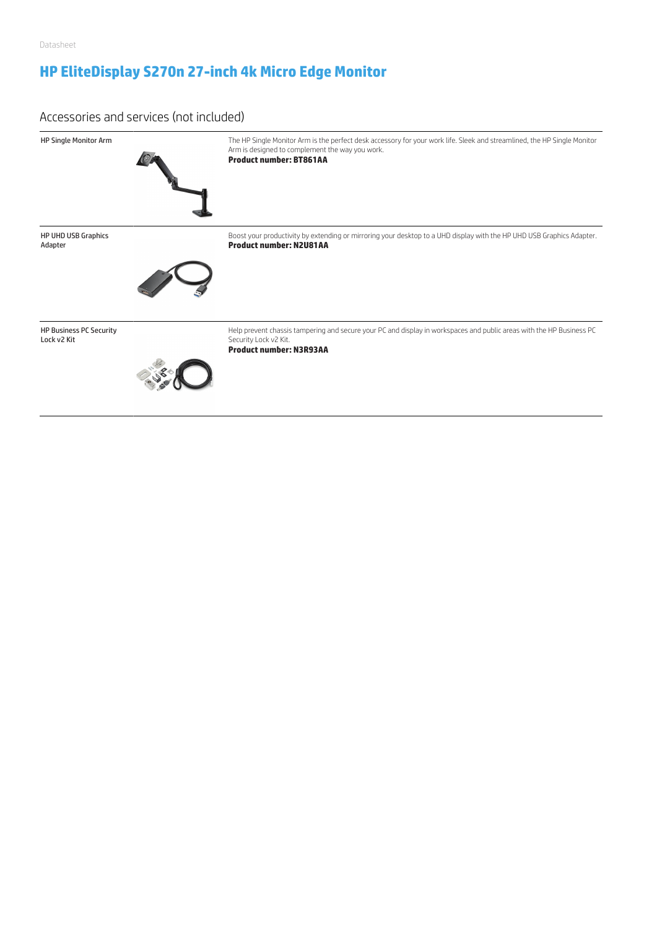# **HP EliteDisplay S270n 27-inch 4k Micro Edge Monitor**

### Accessories and services (not included)